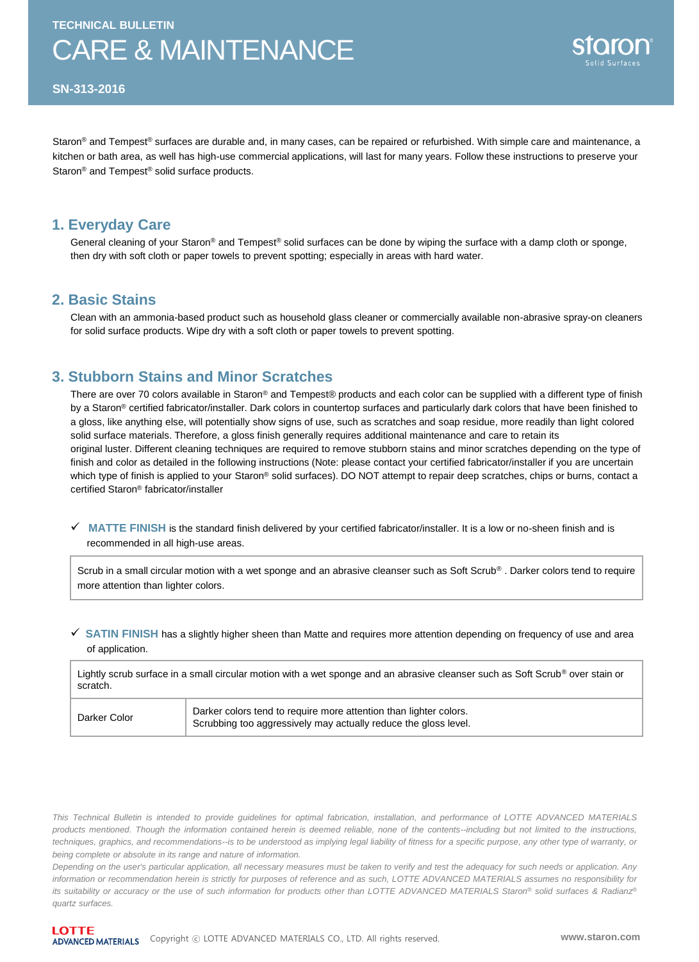# CARE & MAINTENANCE



**SN-313-2016**

Staron<sup>®</sup> and Tempest<sup>®</sup> surfaces are durable and, in many cases, can be repaired or refurbished. With simple care and maintenance, a kitchen or bath area, as well has high-use commercial applications, will last for many years. Follow these instructions to preserve your Staron® and Tempest® solid surface products.

### **1. Everyday Care**

General cleaning of your Staron<sup>®</sup> and Tempest<sup>®</sup> solid surfaces can be done by wiping the surface with a damp cloth or sponge, then dry with soft cloth or paper towels to prevent spotting; especially in areas with hard water.

### **2. Basic Stains**

Clean with an ammonia-based product such as household glass cleaner or commercially available non-abrasive spray-on cleaners for solid surface products. Wipe dry with a soft cloth or paper towels to prevent spotting.

## **3. Stubborn Stains and Minor Scratches**

There are over 70 colors available in Staron® and Tempest® products and each color can be supplied with a different type of finish by a Staron® certified fabricator/installer. Dark colors in countertop surfaces and particularly dark colors that have been finished to a gloss, like anything else, will potentially show signs of use, such as scratches and soap residue, more readily than light colored solid surface materials. Therefore, a gloss finish generally requires additional maintenance and care to retain its original luster. Different cleaning techniques are required to remove stubborn stains and minor scratches depending on the type of finish and color as detailed in the following instructions (Note: please contact your certified fabricator/installer if you are uncertain which type of finish is applied to your Staron® solid surfaces). DO NOT attempt to repair deep scratches, chips or burns, contact a certified Staron® fabricator/installer

 **MATTE FINISH** is the standard finish delivered by your certified fabricator/installer. It is a low or no-sheen finish and is recommended in all high-use areas.

Scrub in a small circular motion with a wet sponge and an abrasive cleanser such as Soft Scrub®. Darker colors tend to require more attention than lighter colors.

#### **SATIN FINISH** has a slightly higher sheen than Matte and requires more attention depending on frequency of use and area of application.

Lightly scrub surface in a small circular motion with a wet sponge and an abrasive cleanser such as Soft Scrub<sup>®</sup> over stain or scratch.

| Darker Color | Darker colors tend to require more attention than lighter colors.            |
|--------------|------------------------------------------------------------------------------|
|              | <sup>1</sup> Scrubbing too aggressively may actually reduce the gloss level. |

This Technical Bulletin is intended to provide guidelines for optimal fabrication, installation, and performance of LOTTE ADVANCED MATERIALS products mentioned. Though the information contained herein is deemed reliable, none of the contents--including but not limited to the instructions, techniques, graphics, and recommendations--is to be understood as implying legal liability of fitness for a specific purpose, any other type of warranty, or *being complete or absolute in its range and nature of information.*

Depending on the user's particular application, all necessary measures must be taken to verify and test the adequacy for such needs or application. Any information or recommendation herein is strictly for purposes of reference and as such, LOTTE ADVANCED MATERIALS assumes no responsibility for its suitability or accuracy or the use of such information for products other than LOTTE ADVANCED MATERIALS Staron® solid surfaces & Radianz® *quartz surfaces.*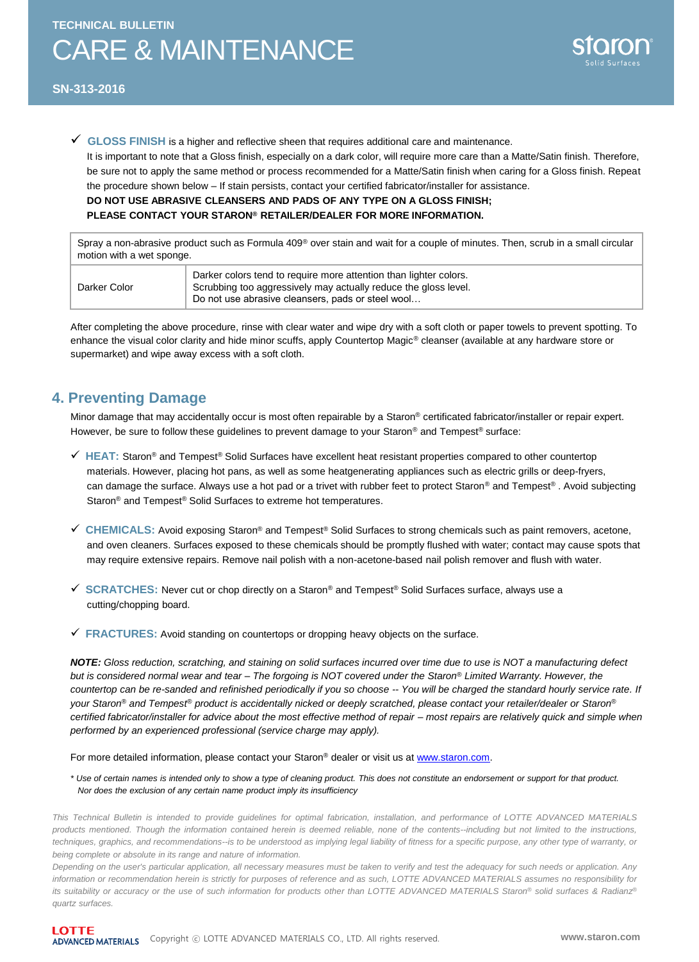#### **SN-313-2016**

**GLOSS FINISH** is a higher and reflective sheen that requires additional care and maintenance.

It is important to note that a Gloss finish, especially on a dark color, will require more care than a Matte/Satin finish. Therefore, be sure not to apply the same method or process recommended for a Matte/Satin finish when caring for a Gloss finish. Repeat the procedure shown below – If stain persists, contact your certified fabricator/installer for assistance.

#### **DO NOT USE ABRASIVE CLEANSERS AND PADS OF ANY TYPE ON A GLOSS FINISH;**

#### **PLEASE CONTACT YOUR STARON® RETAILER/DEALER FOR MORE INFORMATION.**

Spray a non-abrasive product such as Formula 409® over stain and wait for a couple of minutes. Then, scrub in a small circular motion with a wet sponge.

| Darker Color | Darker colors tend to require more attention than lighter colors.<br>Scrubbing too aggressively may actually reduce the gloss level.<br>Do not use abrasive cleansers, pads or steel wool |
|--------------|-------------------------------------------------------------------------------------------------------------------------------------------------------------------------------------------|
|--------------|-------------------------------------------------------------------------------------------------------------------------------------------------------------------------------------------|

After completing the above procedure, rinse with clear water and wipe dry with a soft cloth or paper towels to prevent spotting. To enhance the visual color clarity and hide minor scuffs, apply Countertop Magic® cleanser (available at any hardware store or supermarket) and wipe away excess with a soft cloth.

# **4. Preventing Damage**

Minor damage that may accidentally occur is most often repairable by a Staron® certificated fabricator/installer or repair expert. However, be sure to follow these guidelines to prevent damage to your Staron® and Tempest® surface:

- **HEAT:** Staron® and Tempest® Solid Surfaces have excellent heat resistant properties compared to other countertop materials. However, placing hot pans, as well as some heatgenerating appliances such as electric grills or deep-fryers, can damage the surface. Always use a hot pad or a trivet with rubber feet to protect Staron® and Tempest®. Avoid subjecting Staron<sup>®</sup> and Tempest<sup>®</sup> Solid Surfaces to extreme hot temperatures.
- **CHEMICALS:** Avoid exposing Staron® and Tempest® Solid Surfaces to strong chemicals such as paint removers, acetone, and oven cleaners. Surfaces exposed to these chemicals should be promptly flushed with water; contact may cause spots that may require extensive repairs. Remove nail polish with a non-acetone-based nail polish remover and flush with water.
- **SCRATCHES:** Never cut or chop directly on a Staron® and Tempest® Solid Surfaces surface, always use a cutting/chopping board.
- **FRACTURES:** Avoid standing on countertops or dropping heavy objects on the surface.

*NOTE: Gloss reduction, scratching, and staining on solid surfaces incurred over time due to use is NOT a manufacturing defect but is considered normal wear and tear – The forgoing is NOT covered under the Staron® Limited Warranty. However, the countertop can be re-sanded and refinished periodically if you so choose -- You will be charged the standard hourly service rate. If your Staron® and Tempest® product is accidentally nicked or deeply scratched, please contact your retailer/dealer or Staron® certified fabricator/installer for advice about the most effective method of repair – most repairs are relatively quick and simple when performed by an experienced professional (service charge may apply).*

For more detailed information, please contact your Staron® dealer or visit us at [www.staron.com.](http://www.staron.com/)

*\* Use of certain names is intended only to show a type of cleaning product. This does not constitute an endorsement or support for that product. Nor does the exclusion of any certain name product imply its insufficiency* 

This Technical Bulletin is intended to provide guidelines for optimal fabrication, installation, and performance of LOTTE ADVANCED MATERIALS products mentioned. Though the information contained herein is deemed reliable, none of the contents--including but not limited to the instructions, techniques, graphics, and recommendations--is to be understood as implying legal liability of fitness for a specific purpose, any other type of warranty, or *being complete or absolute in its range and nature of information.*

Depending on the user's particular application, all necessary measures must be taken to verify and test the adequacy for such needs or application. Any information or recommendation herein is strictly for purposes of reference and as such, LOTTE ADVANCED MATERIALS assumes no responsibility for its suitability or accuracy or the use of such information for products other than LOTTE ADVANCED MATERIALS Staron® solid surfaces & Radianz® *quartz surfaces.*